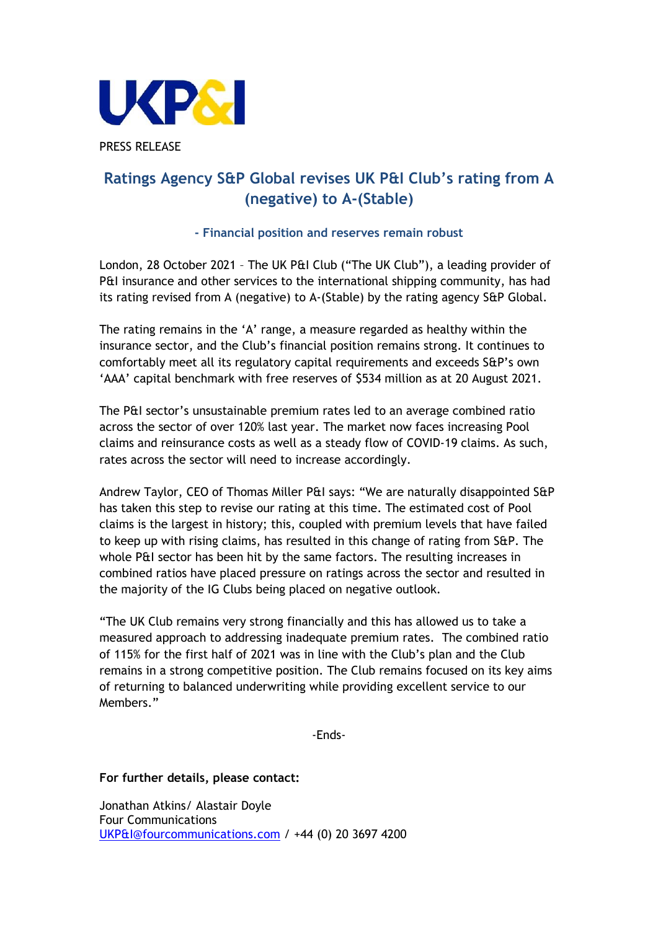

# **Ratings Agency S&P Global revises UK P&I Club's rating from A (negative) to A-(Stable)**

## **- Financial position and reserves remain robust**

London, 28 October 2021 – The UK P&I Club ("The UK Club"), a leading provider of P&I insurance and other services to the international shipping community, has had its rating revised from A (negative) to A-(Stable) by the rating agency S&P Global.

The rating remains in the 'A' range, a measure regarded as healthy within the insurance sector, and the Club's financial position remains strong. It continues to comfortably meet all its regulatory capital requirements and exceeds S&P's own 'AAA' capital benchmark with free reserves of \$534 million as at 20 August 2021.

The P&I sector's unsustainable premium rates led to an average combined ratio across the sector of over 120% last year. The market now faces increasing Pool claims and reinsurance costs as well as a steady flow of COVID-19 claims. As such, rates across the sector will need to increase accordingly.

Andrew Taylor, CEO of Thomas Miller P&I says: "We are naturally disappointed S&P has taken this step to revise our rating at this time. The estimated cost of Pool claims is the largest in history; this, coupled with premium levels that have failed to keep up with rising claims, has resulted in this change of rating from S&P. The whole P&I sector has been hit by the same factors. The resulting increases in combined ratios have placed pressure on ratings across the sector and resulted in the majority of the IG Clubs being placed on negative outlook.

"The UK Club remains very strong financially and this has allowed us to take a measured approach to addressing inadequate premium rates. The combined ratio of 115% for the first half of 2021 was in line with the Club's plan and the Club remains in a strong competitive position. The Club remains focused on its key aims of returning to balanced underwriting while providing excellent service to our Members."

-Ends-

## **For further details, please contact:**

Jonathan Atkins/ Alastair Doyle Four Communications [UKP&I@fourcommunications.com](mailto:UKP&I@fourcommunications.com) / +44 (0) 20 3697 4200